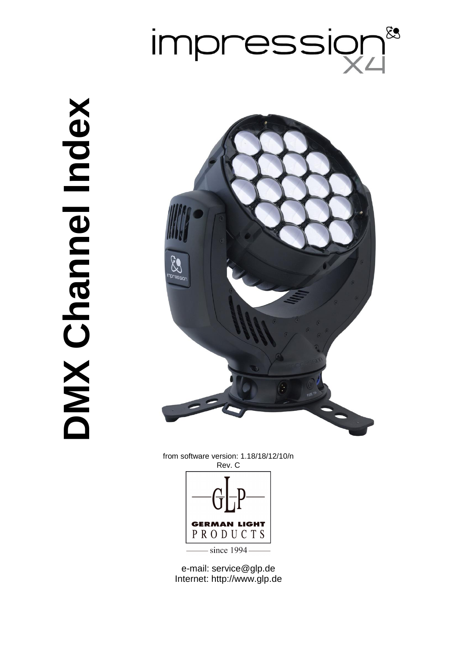

# **Nebul lennand XWC DMX Channel Index**



from software version: 1.18/18/12/10/n Rev. C



e-mail: service@glp.de Internet: http://www.glp.de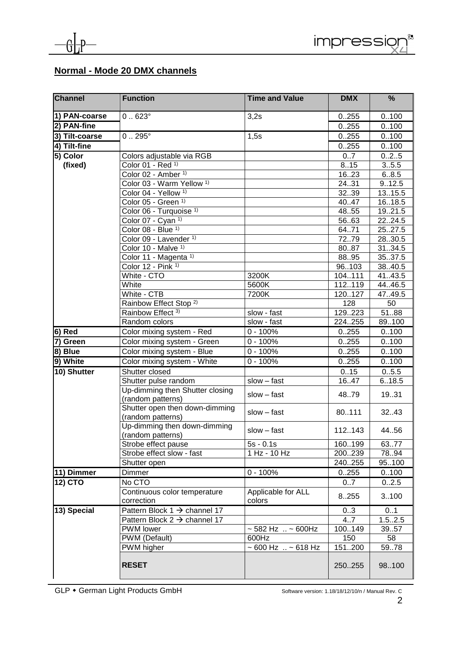

### **Normal - Mode 20 DMX channels**

| <b>Channel</b> | <b>Function</b>                                     | <b>Time and Value</b>                       | <b>DMX</b>         | %             |
|----------------|-----------------------------------------------------|---------------------------------------------|--------------------|---------------|
| 1) PAN-coarse  | $0.623^{\circ}$                                     | 3,2s                                        | 0.255              | 0.100         |
| 2) PAN-fine    |                                                     |                                             | 0.255              | 0.100         |
| 3) Tilt-coarse | $0.295^{\circ}$                                     | 1,5s                                        | 0.255              | 0.100         |
| 4) Tilt-fine   |                                                     |                                             | 0.255              | 0.100         |
| 5) Color       | Colors adjustable via RGB                           |                                             | 0.7                | 025           |
| (fixed)        | Color 01 - Red 1)                                   |                                             | 815                | 3.5.5         |
|                | Color 02 - Amber 1)                                 |                                             | 1623               | 6.8.5         |
|                | Color 03 - Warm Yellow <sup>1)</sup>                |                                             | 24.31              | 9.12.5        |
|                | Color 04 - Yellow <sup>1)</sup>                     |                                             | 3239               | 13.15.5       |
|                | Color 05 - Green 1)                                 |                                             | 40.47              | 16.18.5       |
|                | Color 06 - Turquoise 1)                             |                                             | 48.55              | 19.21.5       |
|                | Color $07 - Cyan^{-1}$                              |                                             | 5663               | 2224.5        |
|                | Color 08 - Blue <sup>1)</sup>                       |                                             | 64.71              | 25.27.5       |
|                | Color 09 - Lavender 1)                              |                                             | $\overline{7}$ 279 | 28.30.5       |
|                | Color 10 - Malve 1)                                 |                                             | 8087               | 31.34.5       |
|                | Color 11 - Magenta <sup>1)</sup>                    |                                             | 8895               | 35.37.5       |
|                | Color 12 - Pink 1)                                  |                                             | 96103              | 38.40.5       |
|                | White - CTO                                         | 3200K                                       | 104.111            | 41.43.5       |
|                | White<br>White - CTB                                | 5600K                                       | 112.119            | 44.46.5       |
|                | Rainbow Effect Stop <sup>2)</sup>                   | 7200K                                       | 120127<br>128      | 47.49.5<br>50 |
|                | Rainbow Effect 3)                                   | slow - fast                                 | 129223             | 5188          |
|                | Random colors                                       | slow - fast                                 | 224255             | 89.100        |
| $ 6)$ Red      | Color mixing system - Red                           | $0 - 100%$                                  | 0.255              | 0.100         |
| 7) Green       | Color mixing system - Green                         | $0 - 100%$                                  | 0.255              | 0.100         |
| $ 8)$ Blue     | Color mixing system - Blue                          | $0 - 100%$                                  | 0.255              | 0.100         |
| 9) White       | Color mixing system - White                         | $\overline{0}$ - 100%                       | 0.255              | 0.100         |
| 10) Shutter    | Shutter closed                                      |                                             |                    | 0.5.5         |
|                | Shutter pulse random                                | $slow - fast$                               | 0.15<br>16.47      | 6.18.5        |
|                | Up-dimming then Shutter closing                     | slow - fast                                 | 4879               | 19.31         |
|                | (random patterns)<br>Shutter open then down-dimming | slow - fast                                 | 80.111             | 32.43         |
|                | (random patterns)<br>Up-dimming then down-dimming   | $slow - fast$                               | 112143             | 44.56         |
|                | (random patterns)                                   |                                             |                    |               |
|                | Strobe effect pause                                 | $5s - 0.1s$                                 | 160199             | 6377          |
|                | Strobe effect slow - fast                           | 1 Hz - 10 Hz                                | 200239             | 78.94         |
|                | Shutter open                                        |                                             | 240255             | 95100         |
| 11) Dimmer     | Dimmer                                              | $0 - 100%$                                  | 0.255              | 0.100         |
| 12) CTO        | No CTO                                              |                                             | 07                 | 0.2.5         |
|                | Continuous color temperature                        | Applicable for ALL                          | 8255               | 3.100         |
|                | correction                                          | colors                                      |                    |               |
| $13)$ Special  | Pattern Block 1 $\rightarrow$ channel 17            |                                             | 03                 | 01            |
|                | Pattern Block $2 \rightarrow$ channel 17            |                                             | 4.7                | 1.52.5        |
|                | PWM lower                                           | $~582$ Hz $~.~5600$ Hz                      | 100149             | 39.57         |
|                | PWM (Default)                                       | 600Hz<br>$\sim 600$ Hz $\ldots \sim 618$ Hz | 150                | 58            |
|                | PWM higher                                          |                                             | 151200             | 59.78         |
|                | <b>RESET</b>                                        |                                             | 250.255            | 98100         |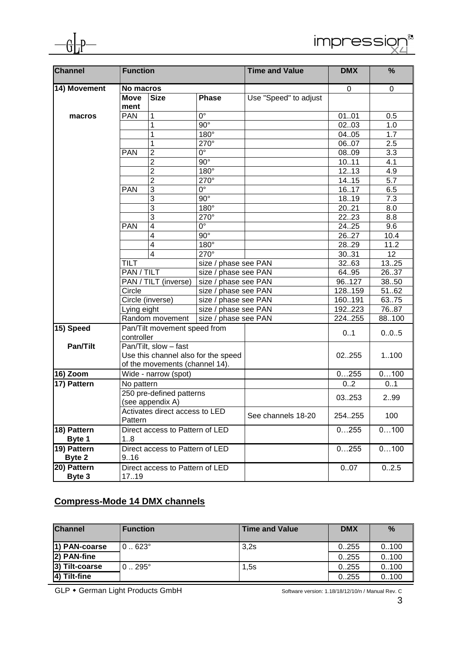

| Channel      | <b>Function</b>                              |                                                                                | <b>Time and Value</b>  | <b>DMX</b>            | %      |                  |
|--------------|----------------------------------------------|--------------------------------------------------------------------------------|------------------------|-----------------------|--------|------------------|
| 14) Movement | No macros                                    |                                                                                |                        |                       | 0      | $\pmb{0}$        |
|              | <b>Move</b>                                  | <b>Size</b>                                                                    | <b>Phase</b>           | Use "Speed" to adjust |        |                  |
|              | ment                                         |                                                                                |                        |                       |        |                  |
| macros       | <b>PAN</b>                                   | 1                                                                              | $\overline{0^{\circ}}$ |                       | 0101   | 0.5              |
|              |                                              | 1                                                                              | $90^\circ$             |                       | 0203   | 1.0              |
|              |                                              | 1                                                                              | 180°                   |                       | 0405   | 1.7              |
|              |                                              | 1                                                                              | $270^\circ$            |                       | 0607   | 2.5              |
|              | <b>PAN</b>                                   | $\overline{2}$                                                                 | $0^{\circ}$            |                       | 0809   | 3.3              |
|              |                                              | $\overline{2}$                                                                 | $90^\circ$             |                       | 1011   | 4.1              |
|              |                                              | $\overline{2}$                                                                 | $180^\circ$            |                       | 1213   | 4.9              |
|              |                                              | $\overline{2}$                                                                 | $270^\circ$            |                       | 14.15  | $\overline{5.7}$ |
|              | <b>PAN</b>                                   | 3                                                                              | $0^{\circ}$            |                       | 1617   | 6.5              |
|              |                                              | 3                                                                              | $90^\circ$             |                       | 1819   | 7.3              |
|              |                                              | 3                                                                              | $180^\circ$            |                       | 2021   | 8.0              |
|              |                                              | 3                                                                              | $270^\circ$            |                       | 2223   | 8.8              |
|              | <b>PAN</b>                                   | $\overline{4}$                                                                 | $0^{\circ}$            |                       | 24.25  | 9.6              |
|              |                                              | $\overline{4}$                                                                 | $90^\circ$             |                       | 2627   | 10.4             |
|              |                                              | $\overline{4}$                                                                 | 180°                   |                       | 2829   | 11.2             |
|              |                                              | $\overline{\mathbf{4}}$                                                        | 270°                   |                       | 3031   | 12               |
|              | <b>TILT</b>                                  |                                                                                | size / phase see PAN   |                       | 3263   | 1325             |
|              | PAN / TILT                                   |                                                                                | size / phase see PAN   |                       | 64.95  | 2637             |
|              |                                              | PAN / TILT (inverse)<br>size / phase see PAN<br>Circle<br>size / phase see PAN |                        |                       | 96127  | 3850             |
|              |                                              |                                                                                |                        |                       | 128159 | 5162             |
|              |                                              | Circle (inverse)                                                               | size / phase see PAN   |                       | 160191 | 63.75            |
|              | Lying eight                                  |                                                                                | size / phase see PAN   |                       | 192223 | 7687             |
|              |                                              | Random movement                                                                |                        | size / phase see PAN  |        | 88100            |
| 15) Speed    |                                              | Pan/Tilt movement speed from                                                   |                        |                       |        |                  |
|              | controller                                   |                                                                                |                        |                       | 0.1    | 0.0.5            |
| Pan/Tilt     |                                              | Pan/Tilt, slow - fast                                                          |                        |                       |        |                  |
|              |                                              | Use this channel also for the speed                                            |                        |                       | 02255  | 1100             |
|              |                                              | of the movements (channel 14).                                                 |                        |                       |        |                  |
| 16) Zoom     | Wide - narrow (spot)                         |                                                                                |                        |                       | 0255   | 0100             |
| 17) Pattern  | No pattern                                   |                                                                                |                        |                       | 02     | 01               |
|              | 250 pre-defined patterns<br>(see appendix A) |                                                                                |                        |                       | 03253  | 299              |
|              |                                              |                                                                                |                        |                       |        |                  |
|              |                                              | Activates direct access to LED                                                 |                        | See channels 18-20    | 254255 | 100              |
|              | Pattern                                      |                                                                                |                        |                       |        |                  |
| 18) Pattern  | Direct access to Pattern of LED              |                                                                                |                        | 0255                  | 0100   |                  |
| Byte 1       | 18                                           |                                                                                |                        |                       |        |                  |
| 19) Pattern  |                                              | Direct access to Pattern of LED                                                |                        |                       | 0255   | 0100             |
| Byte 2       | 9.16                                         |                                                                                |                        |                       |        |                  |
| 20) Pattern  |                                              | Direct access to Pattern of LED                                                |                        |                       | 0.07   | 0.2.5            |
| Byte 3       | 17.19                                        |                                                                                |                        |                       |        |                  |

# **Compress-Mode 14 DMX channels**

| <b>Channel</b> | <b>Function</b>  | <b>Time and Value</b> | <b>DMX</b> | $\%$  |
|----------------|------------------|-----------------------|------------|-------|
| 1) PAN-coarse  | $0.623^\circ$    | 3.2s                  | 0.255      | 0.100 |
| 2) PAN-fine    |                  |                       | 0.255      | 0.100 |
| 3) Tilt-coarse | $0.0295^{\circ}$ | 1,5s                  | 0.255      | 0.100 |
| 4) Tilt-fine   |                  |                       | 0.255      | 0.100 |

GLP • German Light Products GmbH Software version: 1.18/18/12/10/n / Manual Rev. C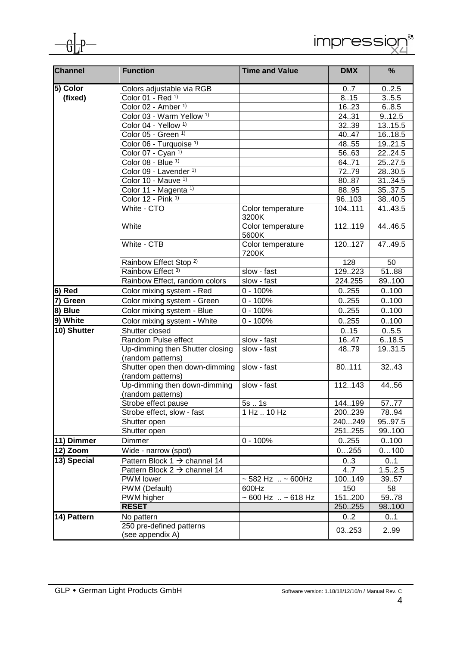

| Channel                | <b>Function</b>                                      | <b>Time and Value</b>              | <b>DMX</b> | %       |
|------------------------|------------------------------------------------------|------------------------------------|------------|---------|
| $\overline{5}$ ) Color | Colors adjustable via RGB                            |                                    | 07         | 0.2.5   |
| (fixed)                | Color 01 - Red 1)                                    |                                    | 8.15       | 3.5.5   |
|                        | Color 02 - Amber <sup>1)</sup>                       |                                    | 1623       | 6.8.5   |
|                        | Color 03 - Warm Yellow <sup>1)</sup>                 |                                    | 24.31      | 9.12.5  |
|                        | Color 04 - Yellow <sup>1)</sup>                      |                                    | 3239       | 1315.5  |
|                        | Color 05 - Green 1)                                  |                                    | 40.47      | 16.18.5 |
|                        | Color 06 - Turquoise 1)                              |                                    | 48.55      | 19.21.5 |
|                        | Color 07 - Cyan 1)                                   |                                    | 5663       | 2224.5  |
|                        | Color 08 - Blue 1)                                   |                                    | 64.71      | 25.27.5 |
|                        | Color 09 - Lavender 1)                               |                                    | 7279       | 28.30.5 |
|                        | Color 10 - Mauve 1)                                  |                                    | 8087       | 31.34.5 |
|                        | Color 11 - Magenta 1)                                |                                    | 8895       | 35.37.5 |
|                        | Color 12 - Pink 1)                                   |                                    | 96103      | 38.40.5 |
|                        | White - CTO                                          | Color temperature<br>3200K         | 104111     | 41.43.5 |
|                        | White                                                | Color temperature<br>5600K         | 112119     | 44.46.5 |
|                        | White - CTB                                          | Color temperature<br>7200K         | 120127     | 47.49.5 |
|                        | Rainbow Effect Stop <sup>2)</sup>                    |                                    | 128        | 50      |
|                        | Rainbow Effect 3)                                    | slow - fast                        | 129223     | 5188    |
|                        | Rainbow Effect, random colors                        | slow - fast                        | 224.255    | 89.100  |
| 6) Red                 | Color mixing system - Red                            | $0 - 100%$                         | 0.255      | 0.100   |
| 7) Green               | Color mixing system - Green                          | $0 - 100%$                         | 0.255      | 0.100   |
| $\overline{8}$ ) Blue  | Color mixing system - Blue                           | $0 - 100%$                         | 0.255      | 0.100   |
| 9) White               | Color mixing system - White                          | $\overline{0}$ - 100%              | 0.255      | 0.100   |
| 10) Shutter            | Shutter closed                                       |                                    | 0.15       | 0.5.5   |
|                        | Random Pulse effect                                  | slow - fast                        | 16.47      | 6.18.5  |
|                        | Up-dimming then Shutter closing<br>(random patterns) | slow - fast                        | 48.79      | 19.31.5 |
|                        | Shutter open then down-dimming<br>(random patterns)  | slow - fast                        | 80111      | 32.43   |
|                        | Up-dimming then down-dimming<br>(random patterns)    | slow - fast                        | 112143     | 44.56   |
|                        | Strobe effect pause                                  | 5s1s                               | 144.199    | 5777    |
|                        | Strobe effect, slow - fast                           | 1 Hz  10 Hz                        | 200239     | 78.94   |
|                        | Shutter open                                         |                                    | 240249     | 95.97.5 |
|                        | Shutter open                                         |                                    | 251255     | 99.100  |
| 11) Dimmer             | Dimmer                                               | $0 - 100%$                         | 0.255      | 0.100   |
| $12)$ Zoom             | Wide - narrow (spot)                                 |                                    | 0255       | 0100    |
| 13) Special            | Pattern Block $1 \rightarrow$ channel 14             |                                    | 03         | 0.1     |
|                        | Pattern Block $2 \rightarrow$ channel 14             |                                    | 4.7        | 1.52.5  |
|                        | PWM lower                                            | ~ 582 Hz  ~ 600Hz                  | 100149     | 39.57   |
|                        | PWM (Default)                                        | 600Hz                              | 150        | 58      |
|                        | PWM higher                                           | $\sim 600$ Hz $\ldots \sim 618$ Hz | 151200     | 59.78   |
|                        | <b>RESET</b>                                         |                                    | 250255     | 98.100  |
| 14) Pattern            | No pattern                                           |                                    | 02         | 01      |
|                        | 250 pre-defined patterns<br>(see appendix A)         |                                    | 03253      | 299     |

impression

 $\int_{0}^{\xi_{3}}$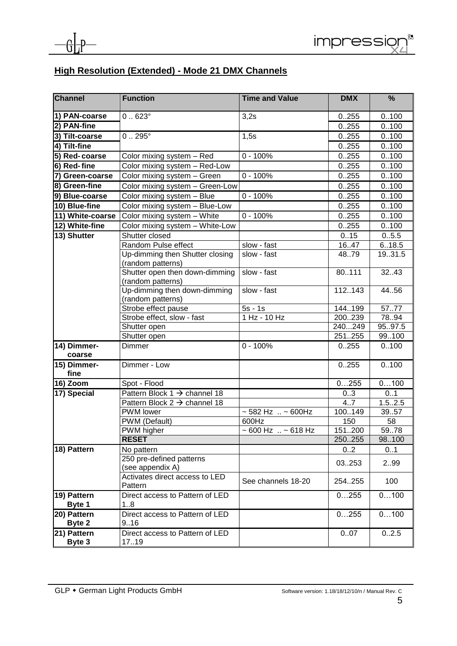

## **High Resolution (Extended) - Mode 21 DMX Channels**

| <b>Channel</b>        | <b>Function</b>                                      | <b>Time and Value</b>              | <b>DMX</b>    | %                          |
|-----------------------|------------------------------------------------------|------------------------------------|---------------|----------------------------|
| 1) PAN-coarse         | $0.623^\circ$                                        | 3,2s                               | 0.255         | 0.100                      |
| 2) PAN-fine           |                                                      |                                    | 0.255         | 0.100                      |
| 3) Tilt-coarse        | $0.295^{\circ}$                                      | 1,5s                               | 0.255         | 0.100                      |
| 4) Tilt-fine          |                                                      |                                    | 0.255         | 0.100                      |
| 5) Red-coarse         | Color mixing system - Red                            | $0 - 100%$                         | 0.255         | 0.100                      |
| 6) Red-fine           | Color mixing system - Red-Low                        |                                    | 0.255         | 0.100                      |
| 7) Green-coarse       | Color mixing system - Green                          | $0 - 100%$                         | 0.255         | 0.100                      |
| 8) Green-fine         | Color mixing system - Green-Low                      |                                    | 0.255         | 0.100                      |
| 9) Blue-coarse        | Color mixing system - Blue                           | $0 - 100%$                         | 0.255         | 0.100                      |
| 10) Blue-fine         | Color mixing system - Blue-Low                       |                                    | 0.255         | 0.100                      |
| 11) White-coarse      | Color mixing system - White                          | $0 - 100%$                         | 0.255         | 0.100                      |
| 12) White-fine        | Color mixing system - White-Low                      |                                    | 0.255         | 0.100                      |
| 13) Shutter           | Shutter closed                                       |                                    | 0.15          | 0.5.5                      |
|                       | Random Pulse effect<br>slow - fast                   |                                    | 16.47         | 6.18.5                     |
|                       | Up-dimming then Shutter closing<br>(random patterns) | slow - fast                        | 4879          | 19.31.5                    |
|                       | Shutter open then down-dimming<br>(random patterns)  | slow - fast                        | 80111         | 32.43                      |
|                       | Up-dimming then down-dimming<br>(random patterns)    | slow - fast                        | 112.143       | 44.56                      |
|                       | Strobe effect pause                                  | $5s - 1s$                          | 144199        | 5777                       |
|                       | Strobe effect, slow - fast                           | 1 Hz - 10 Hz                       | 200239        | 78.94                      |
|                       | Shutter open                                         |                                    | 240249        | 95.97.5                    |
|                       | Shutter open                                         |                                    | 251255        | 99.100                     |
| 14) Dimmer-<br>coarse | Dimmer                                               | $0 - 100%$                         | 0255          | 0.100                      |
| 15) Dimmer-<br>fine   | Dimmer - Low                                         |                                    | 0.255         | 0.100                      |
| 16) Zoom              | Spot - Flood                                         |                                    | 0255          | 0100                       |
| 17) Special           | Pattern Block $1 \rightarrow$ channel 18             |                                    | 03            | 0.1                        |
|                       | Pattern Block $2 \rightarrow$ channel 18             |                                    | 4.7           | 1.52.5                     |
|                       | PWM lower                                            | $~582$ Hz $~.~5600$ Hz             | 100149        | 3957                       |
|                       | PWM (Default)                                        | 600Hz                              | 150           | 58                         |
|                       | PWM higher<br><b>RESET</b>                           | $\sim 600$ Hz $\ldots \sim 618$ Hz | 151200        | 5978                       |
| 18) Pattern           |                                                      |                                    | 250255<br>0.2 | 98.100<br>$0.\overline{1}$ |
|                       | No pattern<br>250 pre-defined patterns               |                                    |               |                            |
|                       | (see appendix A)                                     |                                    | 03253         | 299                        |
|                       | Activates direct access to LED<br>Pattern            | See channels 18-20                 | 254.255       | 100                        |
| 19) Pattern<br>Byte 1 | Direct access to Pattern of LED<br>18                |                                    | 0255          | 0100                       |
| 20) Pattern<br>Byte 2 | Direct access to Pattern of LED<br>9.16              |                                    | 0255          | 0100                       |
| 21) Pattern<br>Byte 3 | Direct access to Pattern of LED<br>17.19             |                                    | 0.07          | 0.2.5                      |